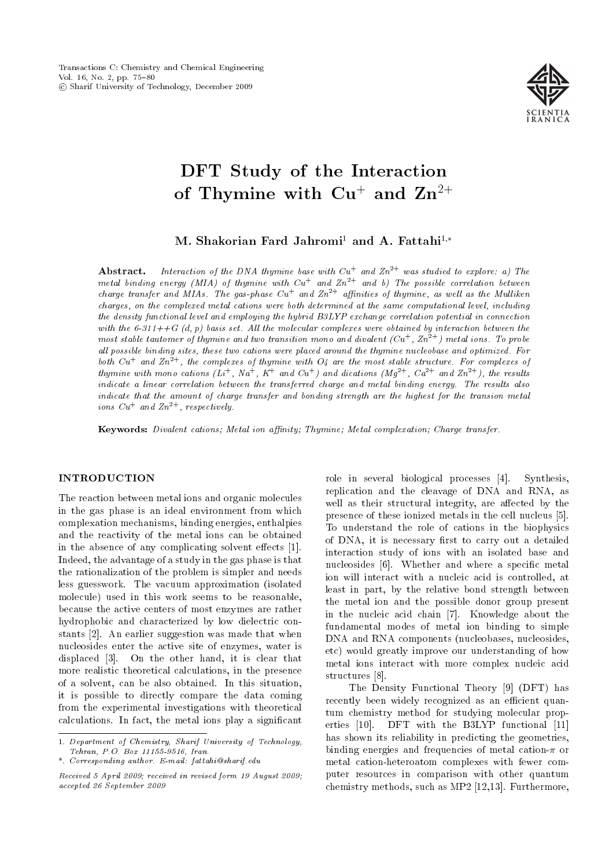

# DFT Study of the Interaction of Thymine with  $Cu^+$  and  $Zn^{2+}$

M. Shakorian Fard Jahromi<sup>1</sup> and A. Fattahi<sup>1,\*</sup>

**Abstract.** Interaction of the DNA thymine base with  $Cu^+$  and  $Zn^{2+}$  was studied to explore: a) The metal binding energy (MIA) of thymine with  $Cu<sup>+</sup>$  and  $Zn<sup>2+</sup>$  and b) The possible correlation between charge transfer and MIAs. The gas-phase  $Cu<sup>+</sup>$  and  $Zn<sup>2+</sup>$  affinities of thymine, as well as the Mulliken charges, on the complexed metal cations were both determined at the same computational level, including the density functional level and employing the hybrid B3LYP exchange correlation potential in connection with the  $6-311++G$  (d, p) basis set. All the molecular complexes were obtained by interaction between the most stable tautomer of thymine and two transition mono and divalent  $(Cu^+, Zn^2+)$  metal ions. To probe all possible binding sites, these two cations were placed around the thymine nucleobase and optimized. For both  $Cu<sup>+</sup>$  and  $Zn<sup>2+</sup>$ , the complexes of thymine with  $O<sub>4</sub>$  are the most stable structure. For complexes of thymine with mono cations  $(L^+, Na^+, K^+$  and  $Cu^+)$  and dications  $(Mg^{2+}, Ca^{2+}$  and  $Zn^{2+})$ , the results indicate a linear correlation between the transferred charge and metal binding energy. The results also indicate that the amount of charge transfer and bonding strength are the highest for the transion metal ions  $Cu<sup>+</sup>$  and  $Zn<sup>2+</sup>$ , respectively.

Keywords: Divalent cations; Metal ion affinity; Thymine; Metal complexation; Charge transfer.

## **INTRODUCTION**

The reaction between metal ions and organic molecules in the gas phase is an ideal environment from which complexation mechanisms, binding energies, enthalpies and the reactivity of the metal ions can be obtained in the absence of any complicating solvent effects [1]. Indeed, the advantage of a study in the gas phase is that the rationalization of the problem is simpler and needs less guesswork. The vacuum approximation (isolated molecule) used in this work seems to be reasonable, because the active centers of most enzymes are rather hydrophobic and characterized by low dielectric constants [2]. An earlier suggestion was made that when nucleosides enter the active site of enzymes, water is displaced [3]. On the other hand, it is clear that more realistic theoretical calculations, in the presence of a solvent, can be also obtained. In this situation, it is possible to directly compare the data coming from the experimental investigations with theoretical calculations. In fact, the metal ions play a signicant

role in several biological processes [4]. Synthesis, replication and the cleavage of DNA and RNA, as well as their structural integrity, are affected by the presence of these ionized metals in the cell nucleus [5]. To understand the role of cations in the biophysics of DNA, it is necessary first to carry out a detailed interaction study of ions with an isolated base and nucleosides [6]. Whether and where a specific metal ion will interact with a nucleic acid is controlled, at least in part, by the relative bond strength between the metal ion and the possible donor group present in the nucleic acid chain [7]. Knowledge about the fundamental modes of metal ion binding to simple DNA and RNA components (nucleobases, nucleosides, etc) would greatly improve our understanding of how metal ions interact with more complex nucleic acid structures [8].

The Density Functional Theory [9] (DFT) has recently been widely recognized as an efficient quantum chemistry method for studying molecular properties [10]. DFT with the B3LYP functional [11] has shown its reliability in predicting the geometries, binding energies and frequencies of metal cation- $\pi$  or metal cation-heteroatom complexes with fewer computer resources in comparison with other quantum chemistry methods, such as MP2 [12,13]. Furthermore,

<sup>1.</sup> Department of Chemistry, Sharif University of Technology, Tehran, P.O. Box 11155-9516, Iran.

<sup>\*.</sup> Corresponding author. E-mail: fattahi@sharif.edu

Received 5 April 2009; received in revised form 19 August 2009; accepted 26 September 2009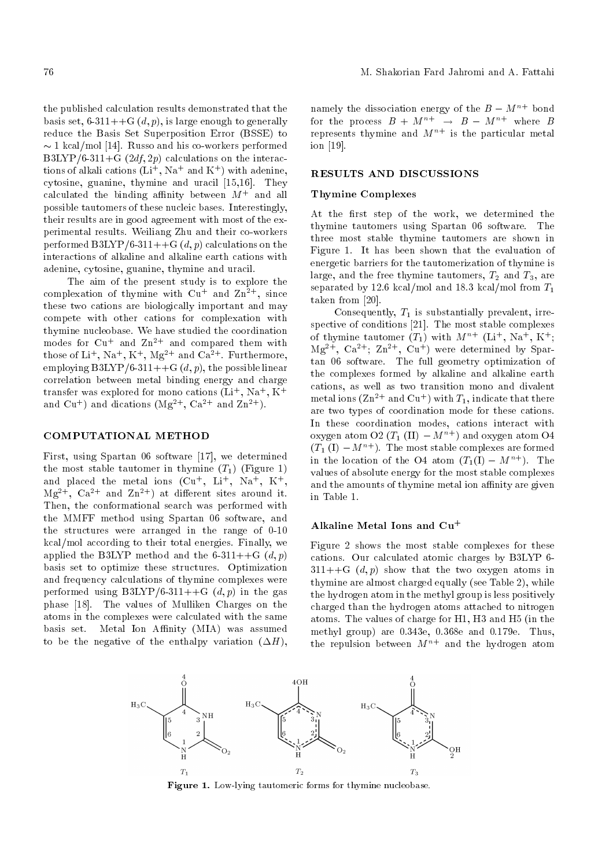the published calculation results demonstrated that the basis set,  $6-311++G(d, p)$ , is large enough to generally reduce the Basis Set Superposition Error (BSSE) to  $\sim$  1 kcal/mol [14]. Russo and his co-workers performed B3LYP/6-311+G  $(2df, 2p)$  calculations on the interactions of alkali cations  $(Li^+, Na^+$  and  $K^+)$  with adenine, cytosine, guanine, thymine and uracil [15,16]. They calculated the binding affinity between  $M^+$  and all possible tautomers of these nucleic bases. Interestingly, their results are in good agreement with most of the experimental results. Weiliang Zhu and their co-workers performed B3LYP/6-311++G  $(d, p)$  calculations on the interactions of alkaline and alkaline earth cations with adenine, cytosine, guanine, thymine and uracil.

The aim of the present study is to explore the complexation of thymine with  $Cu<sup>+</sup>$  and  $Zn<sup>2+</sup>$ , since these two cations are biologically important and may compete with other cations for complexation with thymine nucleobase. We have studied the coordination modes for  $Cu$ <sup>+</sup> and  $Zn$ <sup>2+</sup> and compared them with those of  $Li^+$ ,  $Na^+$ ,  $K^+$ ,  $Mg^{2+}$  and  $Ca^{2+}$ . Furthermore, employing  $B3LYP/6-311++G(d, p)$ , the possible linear correlation between metal binding energy and charge transfer was explored for mono cations  $(Li^+, Na^+, K^+)$ and  $Cu<sup>+</sup>$  and dications  $(Mg<sup>2+</sup>, Ca<sup>2+</sup>$  and  $Zn<sup>2+</sup>)$ .

## COMPUTATIONAL METHOD

First, using Spartan 06 software [17], we determined the most stable tautomer in thymine  $(T_1)$  (Figure 1) and placed the metal ions  $(Cu^+, Li^+, Na^+, K^+,$  $Mg^{2+}$ ,  $Ca^{2+}$  and  $Zn^{2+}$ ) at different sites around it. Then, the conformational search was performed with the MMFF method using Spartan 06 software, and the structures were arranged in the range of 0-10 kcal/mol according to their total energies. Finally, we applied the B3LYP method and the 6-311++G  $(d, p)$ basis set to optimize these structures. Optimization and frequency calculations of thymine complexes were performed using  $B3LYP/6-311++G$   $(d, p)$  in the gas phase [18]. The values of Mulliken Charges on the atoms in the complexes were calculated with the same basis set. Metal Ion Affinity (MIA) was assumed to be the negative of the enthalpy variation  $(\Delta H)$ ,

namely the dissociation energy of the  $B - M^{n+}$  bond for the process  $B + M^{n+} \rightarrow B - M^{n+}$  where B represents thymine and  $M^{n+}$  is the particular metal ion [19].

## RESULTS AND DISCUSSIONS

#### Thymine Complexes

At the first step of the work, we determined the thymine tautomers using Spartan 06 software. The three most stable thymine tautomers are shown in Figure 1. It has been shown that the evaluation of energetic barriers for the tautomerization of thymine is large, and the free thymine tautomers,  $T_2$  and  $T_3$ , are separated by 12.6 kcal/mol and 18.3 kcal/mol from  $T_1$ taken from [20].

Consequently,  $T_1$  is substantially prevalent, irrespective of conditions [21]. The most stable complexes of thymine tautomer  $(T_1)$  with  $M^{n+}$  (Li<sup>+</sup>, Na<sup>+</sup>, K<sup>+</sup>;  $Mg^{2+}$ ,  $Ca^{2+}$ ;  $Zn^{2+}$ ,  $Cu^{+}$ ) were determined by Spartan 06 software. The full geometry optimization of the complexes formed by alkaline and alkaline earth cations, as well as two transition mono and divalent metal ions ( $\text{Zn}^{2+}$  and  $\text{Cu}^{+}$ ) with  $T_1$ , indicate that there are two types of coordination mode for these cations. In these coordination modes, cations interact with oxygen atom O2 ( $T_1$  (II)  $-M^{n+}$ ) and oxygen atom O4  $(T_1(I) - M^{n+})$ . The most stable complexes are formed in the location of the O4 atom  $(T_1(I) - M^{n+})$ . The values of absolute energy for the most stable complexes and the amounts of thymine metal ion affinity are given in Table 1.

#### Alkaline Metal Ions and Cu<sup>+</sup>

Figure 2 shows the most stable complexes for these cations. Our calculated atomic charges by B3LYP 6-  $311++G$   $(d, p)$  show that the two oxygen atoms in thymine are almost charged equally (see Table 2), while the hydrogen atom in the methyl group is less positively charged than the hydrogen atoms attached to nitrogen atoms. The values of charge for H1, H3 and H5 (in the methyl group) are 0.343e, 0.368e and 0.179e. Thus, the repulsion between  $M^{n+}$  and the hydrogen atom



Figure 1. Low-lying tautomeric forms for thymine nucleobase.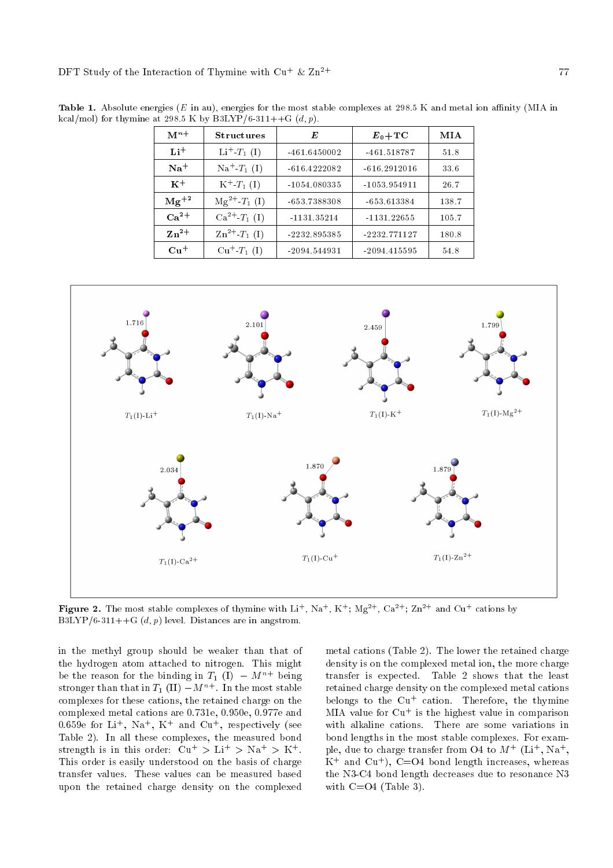| $M^{n+}$      | <b>Structures</b>              | E              | $E_0+\mathrm{TC}$ | MIA   |
|---------------|--------------------------------|----------------|-------------------|-------|
| $Li+$         | $Li^{+}$ - $T_1$ (I)           | $-461.6450002$ | $-461.518787$     | 51.8  |
| $Na+$         | $\mathrm{Na}^+\text{-}T_1$ (I) | $-616.4222082$ | $-616.2912016$    | 33.6  |
| $K^+$         | $K^+$ - $T_1$ (I)              | $-1054.080335$ | $-1053.954911$    | 26.7  |
| $\rm Mg^{+2}$ | $Mg^{2+}T_1(I)$                | $-653.7388308$ | $-653.613384$     | 138.7 |
| $Ca^{2+}$     | $Ca^{2+}T_1(I)$                | $-1131.35214$  | $-1131.22655$     | 105.7 |
| $Zn^{2+}$     | $\rm Zn^{2+}$ $\rm T_1$ (I)    | -2232.895385   | $-2232.771127$    | 180.8 |
| $Cu+$         | $Cu+-T1(I)$                    | $-2094.544931$ | $-2094.415595$    | 54.8  |

Table 1. Absolute energies ( $E$  in au), energies for the most stable complexes at 298.5 K and metal ion affinity (MIA in kcal/mol) for thymine at 298.5 K by B3LYP/6-311++G  $(d, p)$ .



Figure 2. The most stable complexes of thymine with  $Li^+$ ,  $Na^+$ ,  $K^+$ ;  $Mg^{2+}$ ,  $Ca^{2+}$ ;  $Zn^{2+}$  and  $Cu^+$  cations by B3LYP/6-311++G  $(d, p)$  level. Distances are in angstrom.

in the methyl group should be weaker than that of the hydrogen atom attached to nitrogen. This might be the reason for the binding in  $T_1$  (I)  $-M^{n+}$  being stronger than that in  $T_1$  (II)  $-M^{n+}$ . In the most stable complexes for these cations, the retained charge on the complexed metal cations are 0.731e, 0.950e, 0.977e and 0.659e for Li<sup>+</sup>, Na<sup>+</sup>, K<sup>+</sup> and Cu<sup>+</sup>, respectively (see Table 2). In all these complexes, the measured bond strength is in this order:  $Cu^+ > Li^+ > Na^+ > K^+$ . This order is easily understood on the basis of charge transfer values. These values can be measured based upon the retained charge density on the complexed

metal cations (Table 2). The lower the retained charge density is on the complexed metal ion, the more charge transfer is expected. Table 2 shows that the least retained charge density on the complexed metal cations belongs to the  $Cu<sup>+</sup>$  cation. Therefore, the thymine MIA value for  $Cu<sup>+</sup>$  is the highest value in comparison with alkaline cations. There are some variations in bond lengths in the most stable complexes. For example, due to charge transfer from O4 to  $M^+$  (Li<sup>+</sup>, Na<sup>+</sup>,  $K^+$  and  $Cu^+$ ),  $C=O4$  bond length increases, whereas the N3-C4 bond length decreases due to resonance N3 with  $C=O4$  (Table 3).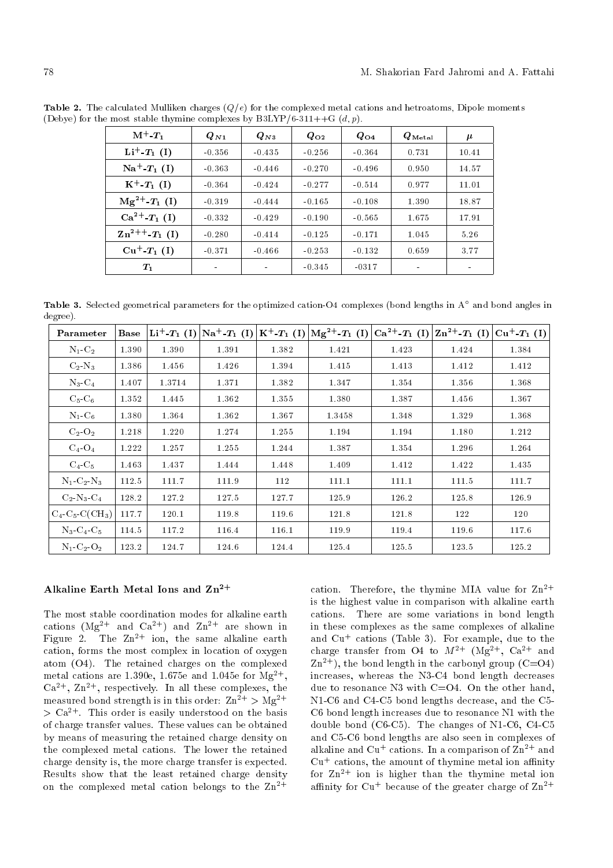| $M^+$ - $T_1$              | $Q_{N1}$ | $Q_{N3}$ | $Q_{O2}$ | $Q_{O4}$ | $\boldsymbol{Q}_\mathrm{M\,et\,al}$ | $\boldsymbol{\mu}$ |
|----------------------------|----------|----------|----------|----------|-------------------------------------|--------------------|
| $Li^{+}T_{1}$ (I)          | $-0.356$ | $-0.435$ | $-0.256$ | $-0.364$ | 0.731                               | 10.41              |
| $Na^+ - T_1$ (I)           | $-0.363$ | $-0.446$ | $-0.270$ | $-0.496$ | 0.950                               | 14.57              |
| $K^+$ - $T_1$ (I)          | $-0.364$ | $-0.424$ | $-0.277$ | $-0.514$ | 0.977                               | 11.01              |
| $Mg^{2+}T_1(I)$            | $-0.319$ | $-0.444$ | $-0.165$ | $-0.108$ | 1.390                               | 18.87              |
| $Ca^{2+}T_1(I)$            | $-0.332$ | $-0.429$ | $-0.190$ | $-0.565$ | 1.675                               | 17.91              |
| $\rm Zn^{2++}$ - $T_1$ (I) | $-0.280$ | $-0.414$ | $-0.125$ | $-0.171$ | 1.045                               | 5.26               |
| $Cu^+ - T_1(I)$            | $-0.371$ | $-0.466$ | $-0.253$ | $-0.132$ | 0.659                               | 3.77               |
| $T_1$                      |          |          | $-0.345$ | $-0.317$ |                                     |                    |

**Table 2.** The calculated Mulliken charges  $(Q/e)$  for the complexed metal cations and hetroatoms, Dipole moments (Debye) for the most stable thymine complexes by  $B3LYP/6-311++G$   $(d, p)$ .

**Table 3.** Selected geometrical parameters for the optimized cation-O4 complexes (bond lengths in A $^\circ$  and bond angles in degree).

| Parameter                                  | Base  | $\mathbf{Li}^{+}$ - $T_1$ (I) | $\text{Na}^+ - T_1$ (I) $\text{K}^+ - T_1$ (I) |       | $\left  {\rm Mg}^{2+}{\rm ~T_1}~{\rm (I)} \right\rangle$ | $Ca^{2+}T_1(I)$ | $  \text{Zn}^{2+}$ - $T_1$ (I) $  \text{Cu}^{+}$ - $T_1$ (I) |       |
|--------------------------------------------|-------|-------------------------------|------------------------------------------------|-------|----------------------------------------------------------|-----------------|--------------------------------------------------------------|-------|
| $N_1$ $C_2$                                | 1.390 | 1.390                         | 1.391                                          | 1.382 | 1.421                                                    | 1.423           | 1.424                                                        | 1.384 |
| $C_2-N_3$                                  | 1.386 | 1.456                         | 1.426                                          | 1.394 | 1.415                                                    | 1.413           | 1.412                                                        | 1.412 |
| $N_3$ $C_4$                                | 1.407 | 1.3714                        | 1.371                                          | 1.382 | 1.347                                                    | 1.354           | 1.356                                                        | 1.368 |
| $C_5$ - $C_6$                              | 1.352 | 1.445                         | 1.362                                          | 1.355 | 1.380                                                    | 1.387           | 1.456                                                        | 1.367 |
| $N_1$ C <sub>6</sub>                       | 1.380 | 1.364                         | 1.362                                          | 1.367 | 1.3458                                                   | 1.348           | 1.329                                                        | 1.368 |
| $C_2$ - $O_2$                              | 1.218 | 1.220                         | 1.274                                          | 1.255 | 1.194                                                    | 1.194           | 1.180                                                        | 1.212 |
| $C_4$ - $O_4$                              | 1.222 | 1.257                         | 1.255                                          | 1.244 | 1.387                                                    | 1.354           | 1.296                                                        | 1.264 |
| $C_4$ - $C_5$                              | 1.463 | 1.437                         | 1.444                                          | 1.448 | 1.409                                                    | 1.412           | 1.422                                                        | 1.435 |
| $N_1$ -C <sub>2</sub> -N <sub>3</sub>      | 112.5 | 111.7                         | 111.9                                          | 112   | 111.1                                                    | 111.1           | 111.5                                                        | 111.7 |
| $C_2$ -N <sub>3</sub> -C <sub>4</sub>      | 128.2 | 127.2                         | 127.5                                          | 127.7 | 125.9                                                    | 126.2           | 125.8                                                        | 126.9 |
| $C_4$ -C <sub>5</sub> -C(CH <sub>3</sub> ) | 117.7 | 120.1                         | 119.8                                          | 119.6 | 121.8                                                    | 121.8           | 122                                                          | 120   |
| $N_3$ - $C_4$ - $C_5$                      | 114.5 | 117.2                         | 116.4                                          | 116.1 | 119.9                                                    | 119.4           | 119.6                                                        | 117.6 |
| $N_1$ $C_2$ $O_2$                          | 123.2 | 124.7                         | 124.6                                          | 124.4 | 125.4                                                    | 125.5           | 123.5                                                        | 125.2 |

# Alkaline Earth Metal Ions and  $\rm Zn^{2+}$

The most stable coordination modes for alkaline earth cations  $(Mg^{2+}$  and  $Ca^{2+})$  and  $Zn^{2+}$  are shown in Figure 2. The  $Zn^{2+}$  ion, the same alkaline earth cation, forms the most complex in location of oxygen atom (O4). The retained charges on the complexed metal cations are 1.390e, 1.675e and 1.045e for  $Mg^{2+}$ ,  $Ca^{2+}$ ,  $Zn^{2+}$ , respectively. In all these complexes, the measured bond strength is in this order:  $\text{Zn}^{2+} > \text{Mg}^{2+}$  $> Ca<sup>2+</sup>$ . This order is easily understood on the basis of charge transfer values. These values can be obtained by means of measuring the retained charge density on the complexed metal cations. The lower the retained charge density is, the more charge transfer is expected. Results show that the least retained charge density on the complexed metal cation belongs to the  $\text{Zn}^{2+}$ 

cation. Therefore, the thymine MIA value for  $\text{Zn}^{2+}$ is the highest value in comparison with alkaline earth cations. There are some variations in bond length in these complexes as the same complexes of alkaline and  $Cu<sup>+</sup>$  cations (Table 3). For example, due to the charge transfer from O4 to  $M^{2+}$  (Mg<sup>2+</sup>, Ca<sup>2+</sup> and  $Zn^{2+}$ ), the bond length in the carbonyl group (C=O4) increases, whereas the N3-C4 bond length decreases due to resonance N3 with C=O4. On the other hand, N1-C6 and C4-C5 bond lengths decrease, and the C5- C6 bond length increases due to resonance N1 with the double bond (C6-C5). The changes of N1-C6, C4-C5 and C5-C6 bond lengths are also seen in complexes of alkaline and Cu<sup>+</sup> cations. In a comparison of  $Zn^{2+}$  and  $Cu<sup>+</sup>$  cations, the amount of thymine metal ion affinity for  $Zn^{2+}$  ion is higher than the thymine metal ion affinity for  $Cu^+$  because of the greater charge of  $Zn^{2+}$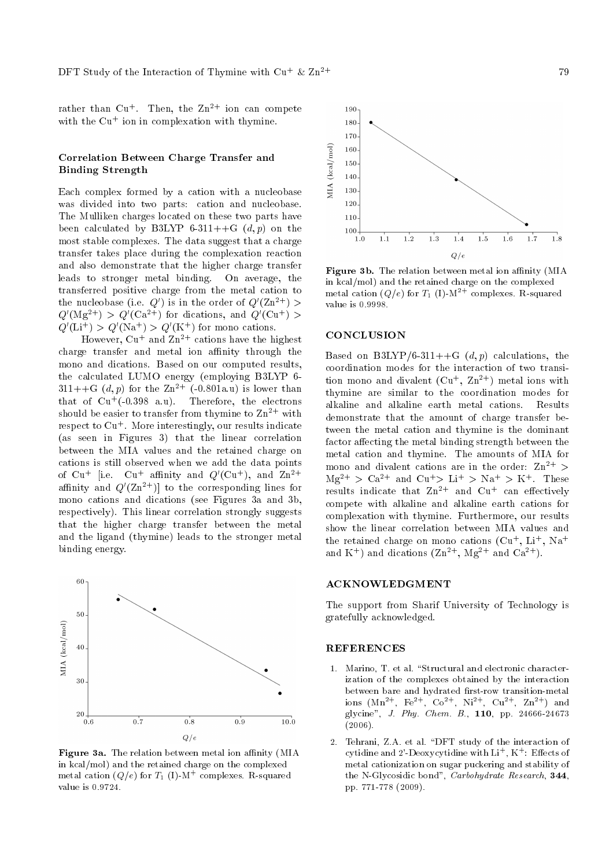rather than  $Cu<sup>+</sup>$ . Then, the  $Zn<sup>2+</sup>$  ion can compete with the  $Cu<sup>+</sup>$  ion in complexation with thymine.

## Correlation Between Charge Transfer and Binding Strength

Each complex formed by a cation with a nucleobase was divided into two parts: cation and nucleobase. The Mulliken charges located on these two parts have been calculated by B3LYP 6-311++G  $(d, p)$  on the most stable complexes. The data suggest that a charge transfer takes place during the complexation reaction and also demonstrate that the higher charge transfer leads to stronger metal binding. On average, the transferred positive charge from the metal cation to the nucleobase (i.e.  $Q'$ ) is in the order of  $Q'(\rm Zn^{2+})>$  $Q'(\rm Mg^{2+})$  >  $Q'(\rm Ca^{2+})$  for dications, and  $Q'(\rm Cu^+)$  >  $Q'(\text{Li}^+) > Q'(\text{Na}^+) > Q'(\text{K}^+)$  for mono cations.

However,  $Cu^+$  and  $Zn^{2+}$  cations have the highest charge transfer and metal ion affinity through the mono and dications. Based on our computed results, the calculated LUMO energy (employing B3LYP 6- 311++G  $(d, p)$  for the  $\text{Zn}^{2+}$  (-0.801a.u) is lower than that of  $Cu^+(0.398 \text{ a.u}).$  Therefore, the electrons should be easier to transfer from thymine to  $\text{Zn}^{2+}$  with respect to  $Cu<sup>+</sup>$ . More interestingly, our results indicate (as seen in Figures 3) that the linear correlation between the MIA values and the retained charge on cations is still observed when we add the data points of  $Cu^+$  [i.e.  $Cu^+$  affinity and  $Q'(Cu^+)$ , and  $Zn^{2+}$ affinity and  $Q'(\mathrm{Zn^{2+}})$ ] to the corresponding lines for mono cations and dications (see Figures 3a and 3b, respectively). This linear correlation strongly suggests that the higher charge transfer between the metal and the ligand (thymine) leads to the stronger metal binding energy.



Figure 3a. The relation between metal ion affinity (MIA in kcal/mol) and the retained charge on the complexed metal cation  $(Q/e)$  for  $T_1$  (I)-M<sup>+</sup> complexes. R-squared value is 0.9724.



Figure 3b. The relation between metal ion affinity (MIA in kcal/mol) and the retained charge on the complexed metal cation  $(Q/e)$  for  $T_1$  (I)- $M^{2+}$  complexes. R-squared value is 0.9998.

## **CONCLUSION**

Based on B3LYP/6-311++G  $(d, p)$  calculations, the coordination modes for the interaction of two transition mono and divalent  $(Cu^+, Zn^{2+})$  metal ions with thymine are similar to the coordination modes for alkaline and alkaline earth metal cations. Results demonstrate that the amount of charge transfer between the metal cation and thymine is the dominant factor affecting the metal binding strength between the metal cation and thymine. The amounts of MIA for mono and divalent cations are in the order:  $\text{Zn}^{2+}$  >  $Mg^{2+} > Ca^{2+}$  and  $Cu^{+} > Li^{+} > Na^{+} > K^{+}$ . These results indicate that  $\mathbb{Z}n^{2+}$  and  $\mathbb{C}u^{+}$  can effectively compete with alkaline and alkaline earth cations for complexation with thymine. Furthermore, our results show the linear correlation between MIA values and the retained charge on mono cations  $(Cu^+, Li^+, Na^+$ and K<sup>+</sup>) and dications  $(Zn^{2+}, Mg^{2+}$  and  $Ca^{2+}$ ).

## ACKNOWLEDGMENT

The support from Sharif University of Technology is gratefully acknowledged.

# REFERENCES

- 1. Marino, T. et al. "Structural and electronic characterization of the complexes obtained by the interaction between bare and hydrated first-row transition-metal ions  $(Mn^{2+}, Fe^{2+}, Co^{2+}, Ni^{2+}, Cu^{2+}, Zn^{2+})$  and glycine", J. Phy. Chem. B., 110, pp. 24666-24673  $(2006).$
- 2. Tehrani, Z.A. et al. \DFT study of the interaction of cytidine and 2'-Deoxycytidine with  $\mathrm{Li}^+,$  K<sup>+</sup>: Effects of metal cationization on sugar puckering and stability of the N-Glycosidic bond", Carbohydrate Research, 344, pp. 771-778 (2009).